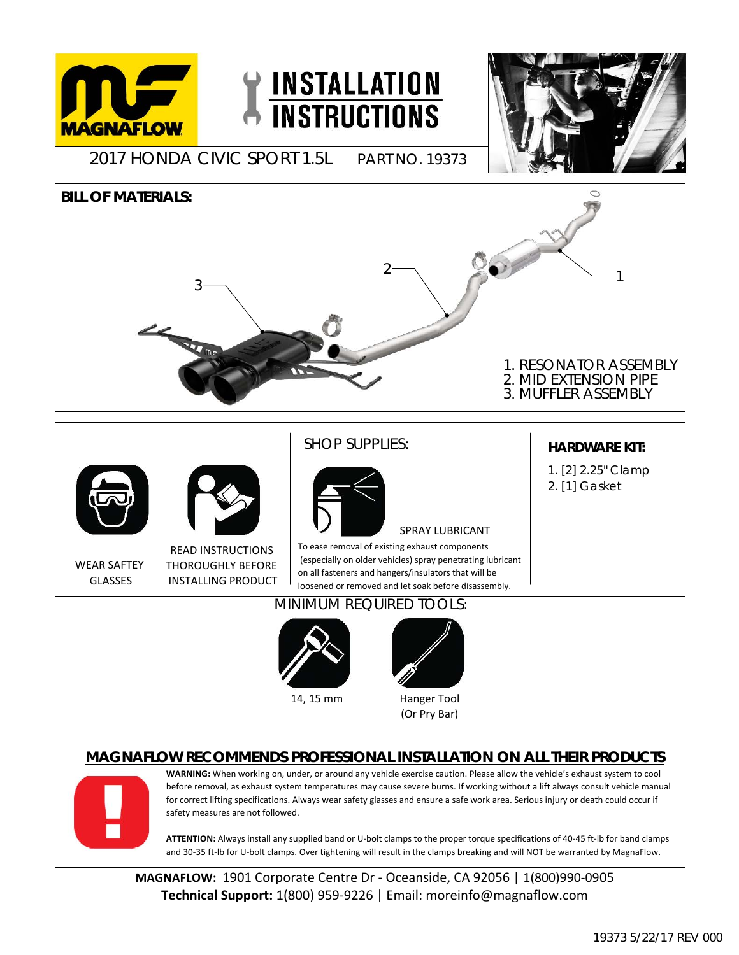

## **MAGNAFLOW RECOMMENDS PROFESSIONAL INSTALLATION ON ALL THEIR PRODUCTS**



**WARNING:** When working on, under, or around any vehicle exercise caution. Please allow the vehicle's exhaust system to cool before removal, as exhaust system temperatures may cause severe burns. If working without a lift always consult vehicle manual for correct lifting specifications. Always wear safety glasses and ensure a safe work area. Serious injury or death could occur if safety measures are not followed.

and 30-35 ft-lb for U-bolt clamps. Over tightening will result in the clamps breaking and will NOT be warranted by MagnaFlow. ATTENTION: Always install any supplied band or U-bolt clamps to the proper torque specifications of 40-45 ft-lb for band clamps

**Technical Support:** 1(800) 959‐9226 | Email: moreinfo@magnaflow.com **MAGNAFLOW:** 1901 Corporate Centre Dr - Oceanside, CA 92056 | 1(800)990-0905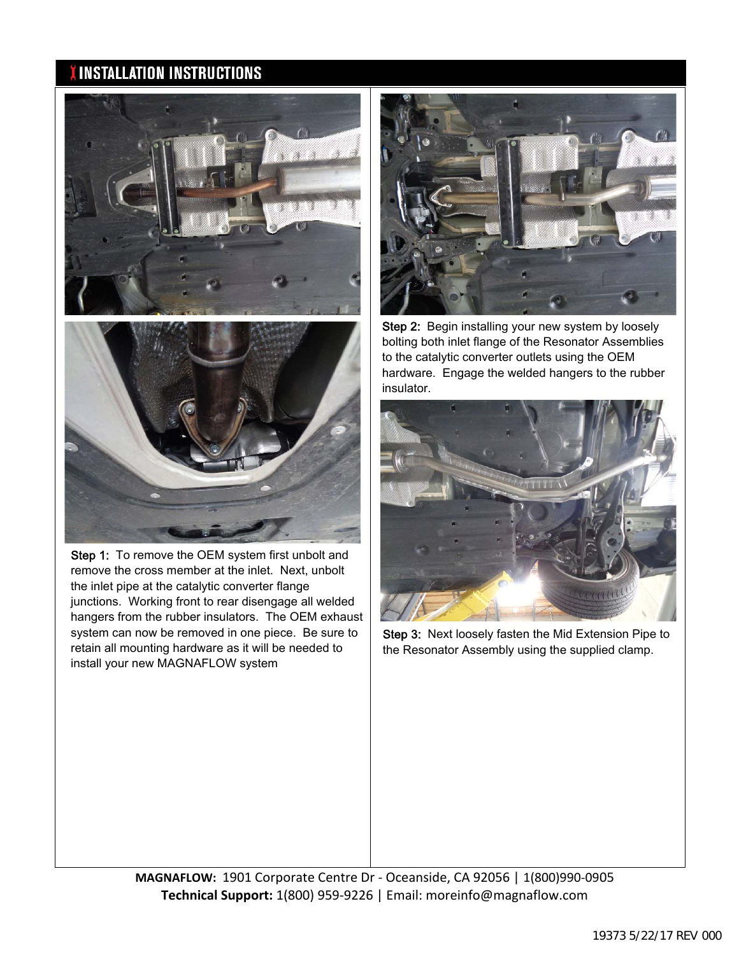## **INSTALLATION INSTRUCTIONS**





the inlet pipe at the catalytic converter flange junctions. Working front to rear disengage all welded hangers from the rubber insulators. The OEM exhaust system can now be removed in one piece. Be sure to retain all mounting hardware as it will be needed to install your new MAGNAFLOW system Step 1: To remove the OEM system first unbolt and remove the cross member at the inlet. Next, unbolt



in sulator. Step 2: Begin installing your new system by loosely bolting both inlet flange of the Resonator Assemblies to the catalytic converter outlets using the OEM hardware. Engage the welded hangers to the rubber



Step 3: Next loosely fasten the Mid Extension Pipe to the Resonator Assembly using the supplied clamp.